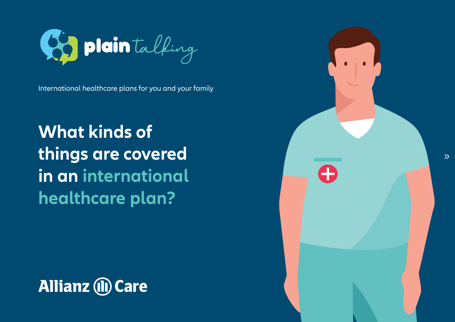

International healthcare plans for you and your family

**What kinds of things are covered** in an international **healthcare** plan?